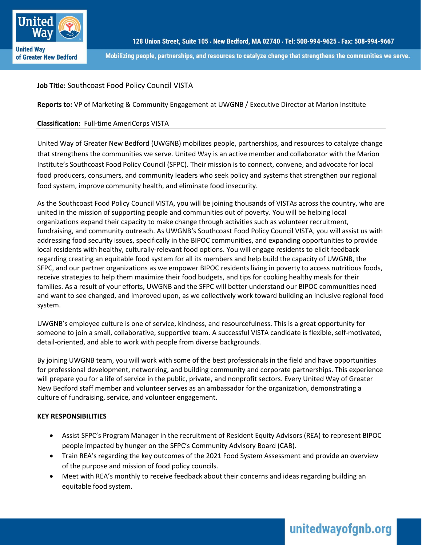

Mobilizing people, partnerships, and resources to catalyze change that strengthens the communities we serve.

# **Job Title:** Southcoast Food Policy Council VISTA

**Reports to:** VP of Marketing & Community Engagement at UWGNB / Executive Director at Marion Institute

## **Classification:** Full-time AmeriCorps VISTA

United Way of Greater New Bedford (UWGNB) mobilizes people, partnerships, and resources to catalyze change that strengthens the communities we serve. United Way is an active member and collaborator with the Marion Institute's Southcoast Food Policy Council (SFPC). Their mission is to connect, convene, and advocate for local food producers, consumers, and community leaders who seek policy and systems that strengthen our regional food system, improve community health, and eliminate food insecurity.

As the Southcoast Food Policy Council VISTA, you will be joining thousands of VISTAs across the country, who are united in the mission of supporting people and communities out of poverty. You will be helping local organizations expand their capacity to make change through activities such as volunteer recruitment, fundraising, and community outreach. As UWGNB's Southcoast Food Policy Council VISTA, you will assist us with addressing food security issues, specifically in the BIPOC communities, and expanding opportunities to provide local residents with healthy, culturally-relevant food options. You will engage residents to elicit feedback regarding creating an equitable food system for all its members and help build the capacity of UWGNB, the SFPC, and our partner organizations as we empower BIPOC residents living in poverty to access nutritious foods, receive strategies to help them maximize their food budgets, and tips for cooking healthy meals for their families. As a result of your efforts, UWGNB and the SFPC will better understand our BIPOC communities need and want to see changed, and improved upon, as we collectively work toward building an inclusive regional food system.

UWGNB's employee culture is one of service, kindness, and resourcefulness. This is a great opportunity for someone to join a small, collaborative, supportive team. A successful VISTA candidate is flexible, self-motivated, detail-oriented, and able to work with people from diverse backgrounds.

By joining UWGNB team, you will work with some of the best professionals in the field and have opportunities for professional development, networking, and building community and corporate partnerships. This experience will prepare you for a life of service in the public, private, and nonprofit sectors. Every United Way of Greater New Bedford staff member and volunteer serves as an ambassador for the organization, demonstrating a culture of fundraising, service, and volunteer engagement.

## **KEY RESPONSIBILITIES**

- Assist SFPC's Program Manager in the recruitment of Resident Equity Advisors (REA) to represent BIPOC people impacted by hunger on the SFPC's Community Advisory Board (CAB).
- Train REA's regarding the key outcomes of the 2021 Food System Assessment and provide an overview of the purpose and mission of food policy councils.
- Meet with REA's monthly to receive feedback about their concerns and ideas regarding building an equitable food system.

# unitedwayofgnb.org